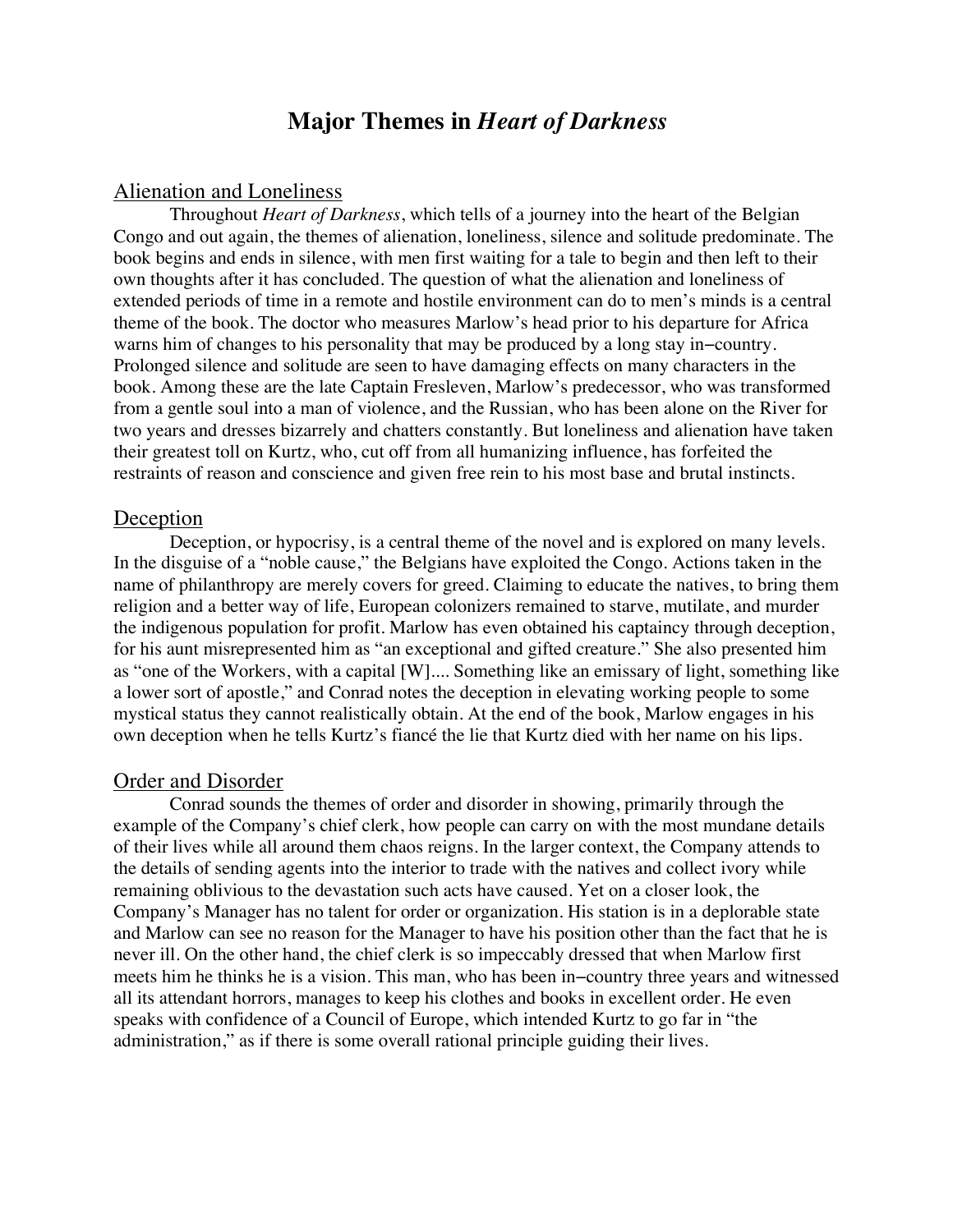# **Major Themes in** *Heart of Darkness*

# Alienation and Loneliness

Throughout *Heart of Darkness*, which tells of a journey into the heart of the Belgian Congo and out again, the themes of alienation, loneliness, silence and solitude predominate. The book begins and ends in silence, with men first waiting for a tale to begin and then left to their own thoughts after it has concluded. The question of what the alienation and loneliness of extended periods of time in a remote and hostile environment can do to men's minds is a central theme of the book. The doctor who measures Marlow's head prior to his departure for Africa warns him of changes to his personality that may be produced by a long stay in−country. Prolonged silence and solitude are seen to have damaging effects on many characters in the book. Among these are the late Captain Fresleven, Marlow's predecessor, who was transformed from a gentle soul into a man of violence, and the Russian, who has been alone on the River for two years and dresses bizarrely and chatters constantly. But loneliness and alienation have taken their greatest toll on Kurtz, who, cut off from all humanizing influence, has forfeited the restraints of reason and conscience and given free rein to his most base and brutal instincts.

#### Deception

Deception, or hypocrisy, is a central theme of the novel and is explored on many levels. In the disguise of a "noble cause," the Belgians have exploited the Congo. Actions taken in the name of philanthropy are merely covers for greed. Claiming to educate the natives, to bring them religion and a better way of life, European colonizers remained to starve, mutilate, and murder the indigenous population for profit. Marlow has even obtained his captaincy through deception, for his aunt misrepresented him as "an exceptional and gifted creature." She also presented him as "one of the Workers, with a capital [W].... Something like an emissary of light, something like a lower sort of apostle," and Conrad notes the deception in elevating working people to some mystical status they cannot realistically obtain. At the end of the book, Marlow engages in his own deception when he tells Kurtz's fiancé the lie that Kurtz died with her name on his lips.

#### Order and Disorder

Conrad sounds the themes of order and disorder in showing, primarily through the example of the Company's chief clerk, how people can carry on with the most mundane details of their lives while all around them chaos reigns. In the larger context, the Company attends to the details of sending agents into the interior to trade with the natives and collect ivory while remaining oblivious to the devastation such acts have caused. Yet on a closer look, the Company's Manager has no talent for order or organization. His station is in a deplorable state and Marlow can see no reason for the Manager to have his position other than the fact that he is never ill. On the other hand, the chief clerk is so impeccably dressed that when Marlow first meets him he thinks he is a vision. This man, who has been in−country three years and witnessed all its attendant horrors, manages to keep his clothes and books in excellent order. He even speaks with confidence of a Council of Europe, which intended Kurtz to go far in "the administration," as if there is some overall rational principle guiding their lives.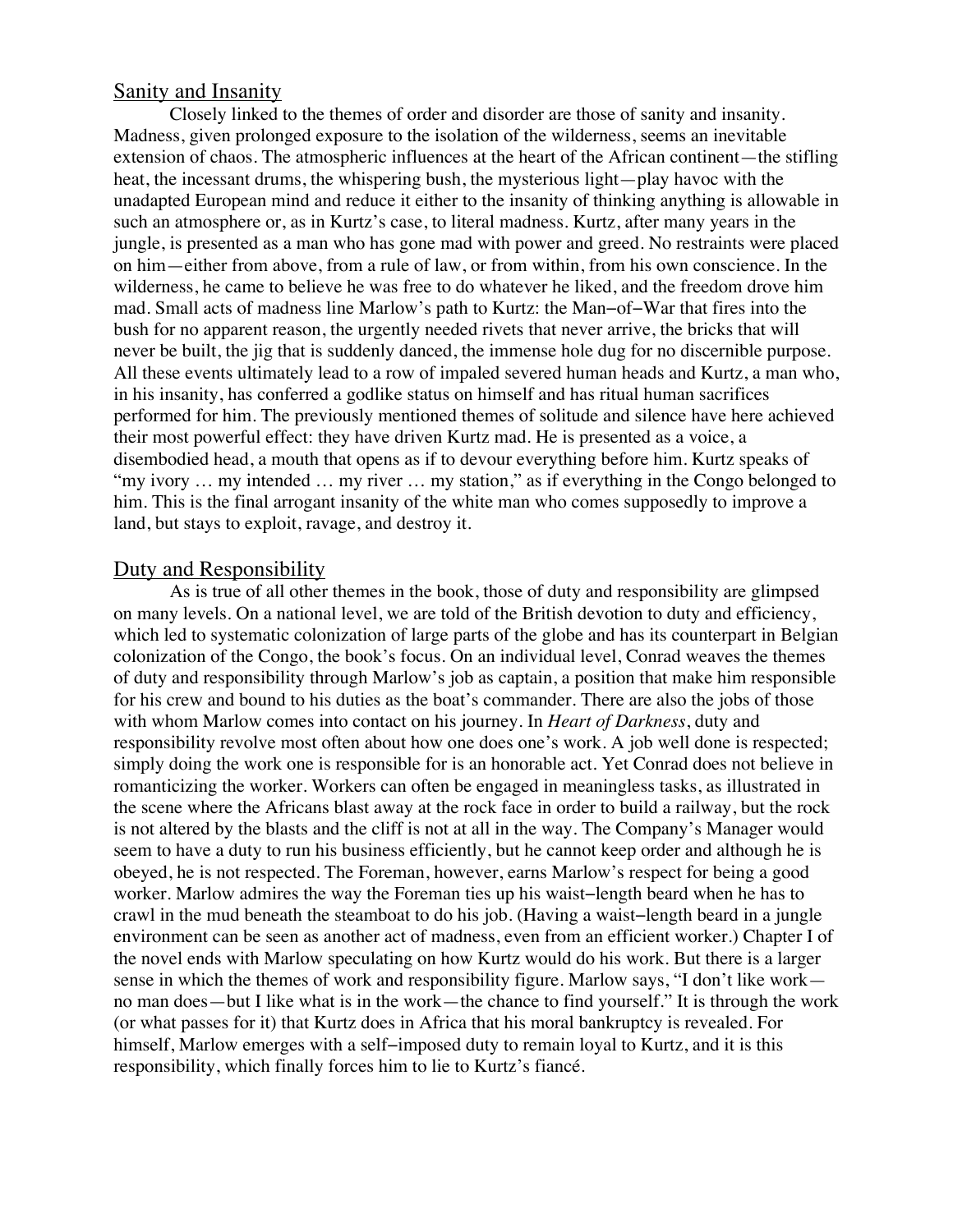#### Sanity and Insanity

Closely linked to the themes of order and disorder are those of sanity and insanity. Madness, given prolonged exposure to the isolation of the wilderness, seems an inevitable extension of chaos. The atmospheric influences at the heart of the African continent—the stifling heat, the incessant drums, the whispering bush, the mysterious light—play havoc with the unadapted European mind and reduce it either to the insanity of thinking anything is allowable in such an atmosphere or, as in Kurtz's case, to literal madness. Kurtz, after many years in the jungle, is presented as a man who has gone mad with power and greed. No restraints were placed on him—either from above, from a rule of law, or from within, from his own conscience. In the wilderness, he came to believe he was free to do whatever he liked, and the freedom drove him mad. Small acts of madness line Marlow's path to Kurtz: the Man−of−War that fires into the bush for no apparent reason, the urgently needed rivets that never arrive, the bricks that will never be built, the jig that is suddenly danced, the immense hole dug for no discernible purpose. All these events ultimately lead to a row of impaled severed human heads and Kurtz, a man who, in his insanity, has conferred a godlike status on himself and has ritual human sacrifices performed for him. The previously mentioned themes of solitude and silence have here achieved their most powerful effect: they have driven Kurtz mad. He is presented as a voice, a disembodied head, a mouth that opens as if to devour everything before him. Kurtz speaks of "my ivory ... my intended ... my river ... my station," as if everything in the Congo belonged to him. This is the final arrogant insanity of the white man who comes supposedly to improve a land, but stays to exploit, ravage, and destroy it.

#### Duty and Responsibility

As is true of all other themes in the book, those of duty and responsibility are glimpsed on many levels. On a national level, we are told of the British devotion to duty and efficiency, which led to systematic colonization of large parts of the globe and has its counterpart in Belgian colonization of the Congo, the book's focus. On an individual level, Conrad weaves the themes of duty and responsibility through Marlow's job as captain, a position that make him responsible for his crew and bound to his duties as the boat's commander. There are also the jobs of those with whom Marlow comes into contact on his journey. In *Heart of Darkness*, duty and responsibility revolve most often about how one does one's work. A job well done is respected; simply doing the work one is responsible for is an honorable act. Yet Conrad does not believe in romanticizing the worker. Workers can often be engaged in meaningless tasks, as illustrated in the scene where the Africans blast away at the rock face in order to build a railway, but the rock is not altered by the blasts and the cliff is not at all in the way. The Company's Manager would seem to have a duty to run his business efficiently, but he cannot keep order and although he is obeyed, he is not respected. The Foreman, however, earns Marlow's respect for being a good worker. Marlow admires the way the Foreman ties up his waist−length beard when he has to crawl in the mud beneath the steamboat to do his job. (Having a waist−length beard in a jungle environment can be seen as another act of madness, even from an efficient worker.) Chapter I of the novel ends with Marlow speculating on how Kurtz would do his work. But there is a larger sense in which the themes of work and responsibility figure. Marlow says, "I don't like work no man does—but I like what is in the work—the chance to find yourself." It is through the work (or what passes for it) that Kurtz does in Africa that his moral bankruptcy is revealed. For himself, Marlow emerges with a self−imposed duty to remain loyal to Kurtz, and it is this responsibility, which finally forces him to lie to Kurtz's fiancé.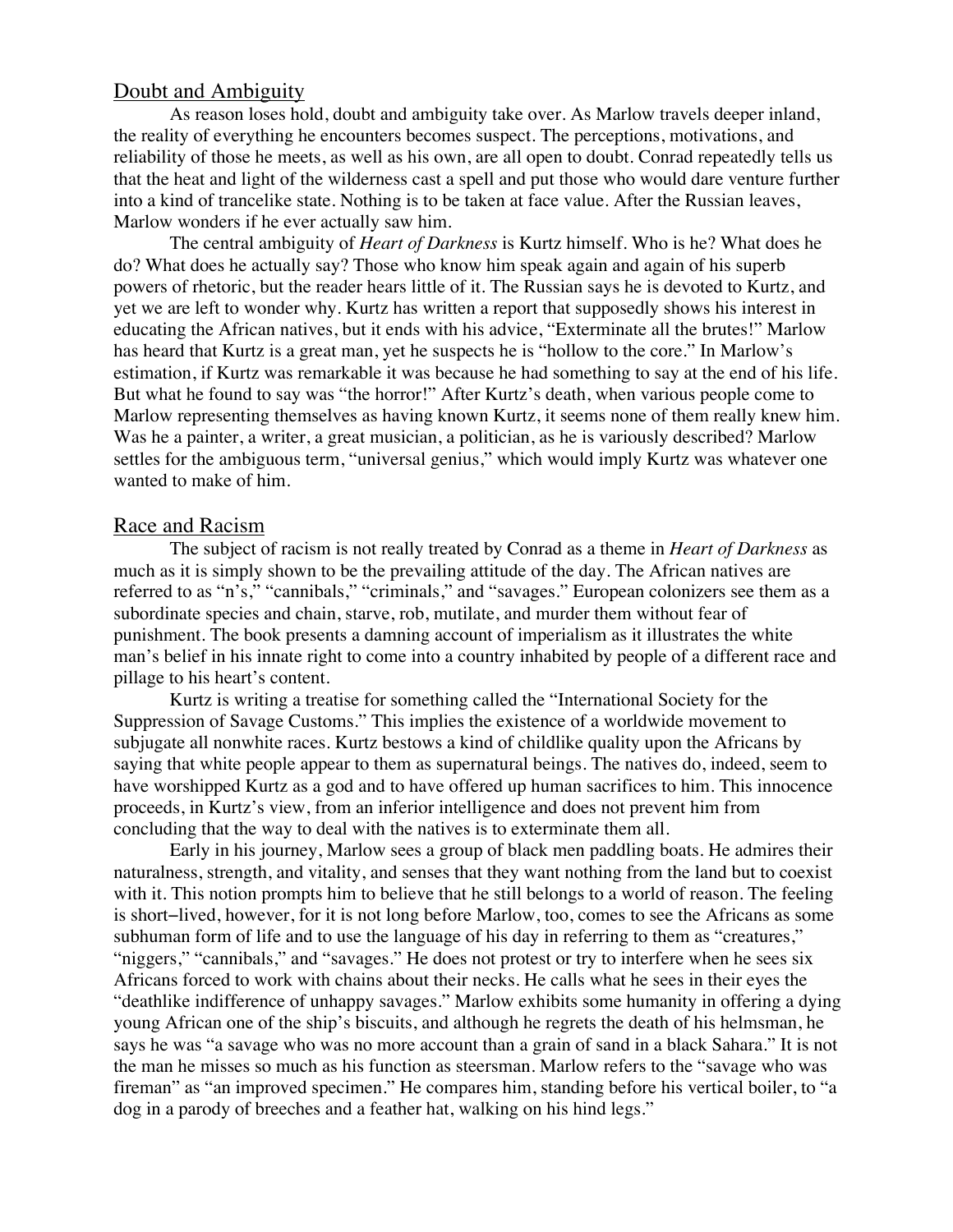#### Doubt and Ambiguity

As reason loses hold, doubt and ambiguity take over. As Marlow travels deeper inland, the reality of everything he encounters becomes suspect. The perceptions, motivations, and reliability of those he meets, as well as his own, are all open to doubt. Conrad repeatedly tells us that the heat and light of the wilderness cast a spell and put those who would dare venture further into a kind of trancelike state. Nothing is to be taken at face value. After the Russian leaves, Marlow wonders if he ever actually saw him.

The central ambiguity of *Heart of Darkness* is Kurtz himself. Who is he? What does he do? What does he actually say? Those who know him speak again and again of his superb powers of rhetoric, but the reader hears little of it. The Russian says he is devoted to Kurtz, and yet we are left to wonder why. Kurtz has written a report that supposedly shows his interest in educating the African natives, but it ends with his advice, "Exterminate all the brutes!" Marlow has heard that Kurtz is a great man, yet he suspects he is "hollow to the core." In Marlow's estimation, if Kurtz was remarkable it was because he had something to say at the end of his life. But what he found to say was "the horror!" After Kurtz's death, when various people come to Marlow representing themselves as having known Kurtz, it seems none of them really knew him. Was he a painter, a writer, a great musician, a politician, as he is variously described? Marlow settles for the ambiguous term, "universal genius," which would imply Kurtz was whatever one wanted to make of him.

### Race and Racism

The subject of racism is not really treated by Conrad as a theme in *Heart of Darkness* as much as it is simply shown to be the prevailing attitude of the day. The African natives are referred to as "n's," "cannibals," "criminals," and "savages." European colonizers see them as a subordinate species and chain, starve, rob, mutilate, and murder them without fear of punishment. The book presents a damning account of imperialism as it illustrates the white man's belief in his innate right to come into a country inhabited by people of a different race and pillage to his heart's content.

Kurtz is writing a treatise for something called the "International Society for the Suppression of Savage Customs." This implies the existence of a worldwide movement to subjugate all nonwhite races. Kurtz bestows a kind of childlike quality upon the Africans by saying that white people appear to them as supernatural beings. The natives do, indeed, seem to have worshipped Kurtz as a god and to have offered up human sacrifices to him. This innocence proceeds, in Kurtz's view, from an inferior intelligence and does not prevent him from concluding that the way to deal with the natives is to exterminate them all.

Early in his journey, Marlow sees a group of black men paddling boats. He admires their naturalness, strength, and vitality, and senses that they want nothing from the land but to coexist with it. This notion prompts him to believe that he still belongs to a world of reason. The feeling is short−lived, however, for it is not long before Marlow, too, comes to see the Africans as some subhuman form of life and to use the language of his day in referring to them as "creatures," "niggers," "cannibals," and "savages." He does not protest or try to interfere when he sees six Africans forced to work with chains about their necks. He calls what he sees in their eyes the "deathlike indifference of unhappy savages." Marlow exhibits some humanity in offering a dying young African one of the ship's biscuits, and although he regrets the death of his helmsman, he says he was "a savage who was no more account than a grain of sand in a black Sahara." It is not the man he misses so much as his function as steersman. Marlow refers to the "savage who was fireman" as "an improved specimen." He compares him, standing before his vertical boiler, to "a dog in a parody of breeches and a feather hat, walking on his hind legs."